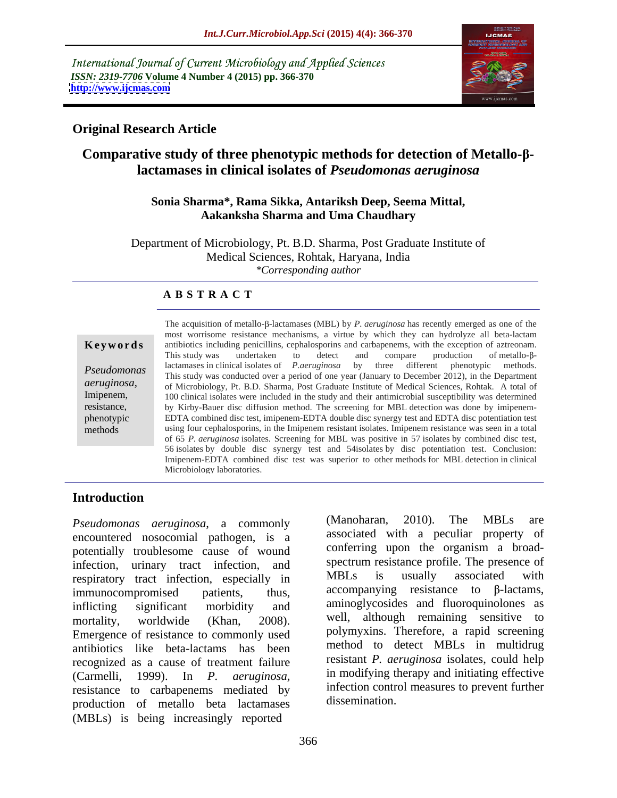International Journal of Current Microbiology and Applied Sciences *ISSN: 2319-7706* **Volume 4 Number 4 (2015) pp. 366-370 <http://www.ijcmas.com>**



## **Original Research Article**

## **Comparative study of three phenotypic methods for detection of Metallo-βlactamases in clinical isolates of** *Pseudomonas aeruginosa*

### **Sonia Sharma\*, Rama Sikka, Antariksh Deep, Seema Mittal, Aakanksha Sharma and Uma Chaudhary**

Department of Microbiology, Pt. B.D. Sharma, Post Graduate Institute of Medical Sciences, Rohtak, Haryana, India *\*Corresponding author*

### **A B S T R A C T**

*aeruginosa,* methods

The acquisition of metallo- $\beta$ -lactamases (MBL) by *P. aeruginosa* has recently emerged as one of the most worrisome resistance mechanisms, a virtue by which they can hydrolyze all beta-lactam<br>antibiotics including penicillins, cephalosporins and carbapenems, with the exception of aztreonam.<br>This study was undertaken to de *Pseudomonas* lactamases in clinical isolates of *P.aeruginosa* by three different phenotypic methods.<br>This study was conducted over a period of one year (January to December 2012), in the Department of Microbiology, Pt. B.D. Sharma, Post Graduate Institute of Medical Sciences, Rohtak. A total of Imipenem, 100 clinical isolates were included in the study and their antimicrobial susceptibility was determined resistance, by Kirby-Bauer disc diffusion method. The screening for MBL detection was done by imipenem-EDTA combined disc test, imipenem-EDTA double disc synergy test and EDTA disc potentiation test using four cephalosporins, in the Imipenem resistant isolates. Imipenem resistance was seen in <sup>a</sup> total of 65 *P. aeruginosa* isolates. Screening for MBL was positive in 57 isolates by combined disc test, 56 isolates by double disc synergy test and 54isolates by disc potentiation test. Conclusion: Imipenem-EDTA combined disc test was superior to other methods forMBL detection in clinical **Keywords**<br> **Keywords Exertion** and the exception of an and the exception of an and the exception. This study was undertaken to detect and compare production of metallo-B-<br> **Pseudomonas**Intis study was conducted over phenotypic EDTA combined disc test, imipenem-EDTA double disc synergy test and EDTA disc potentiation test<br>methods using four cephalosporins, in the Imipenem resistant isolates. Imipenem resistance was seen in a total

## **Introduction**

encountered nosocomial pathogen, is a potentially troublesome cause of wound infection, urinary tract infection, and spectrum resistance profile. The presence of<br>respiratory tract infection especially in MBLs is usually associated with respiratory tract infection, especially in  $\lim_{n \to \infty}$  immunocompromised patients, thus, accompanying resistance to  $\beta$ -lactams, inflicting significant morbidity and aminoglycosides and fluoroquinolones as mortality, worldwide (Khan, 2008). well, although remaining sensitive to Emergence of resistance to commonly used antibiotics like beta-lactams has been recognized as a cause of treatment failure (Carmelli, 1999). In *P. aeruginosa,* in modifying therapy and initiating effective resistance to carbapenems mediated by intection control<br>mediation of matella bate lastennesses dissemination production of metallo beta lactamases (MBLs) is being increasingly reported

*Pseudomonas aeruginosa*, a commonly (Manoharan, 2010). The MBLs are (Manoharan, 2010). The MBLs are associated with a peculiar property of conferring upon the organism a broad spectrum resistance profile. The presence of MBLs is usually associated with polymyxins. Therefore, a rapid screening method to detect MBLs in multidrug resistant *P. aeruginosa* isolates, could help infection control measures to prevent further dissemination.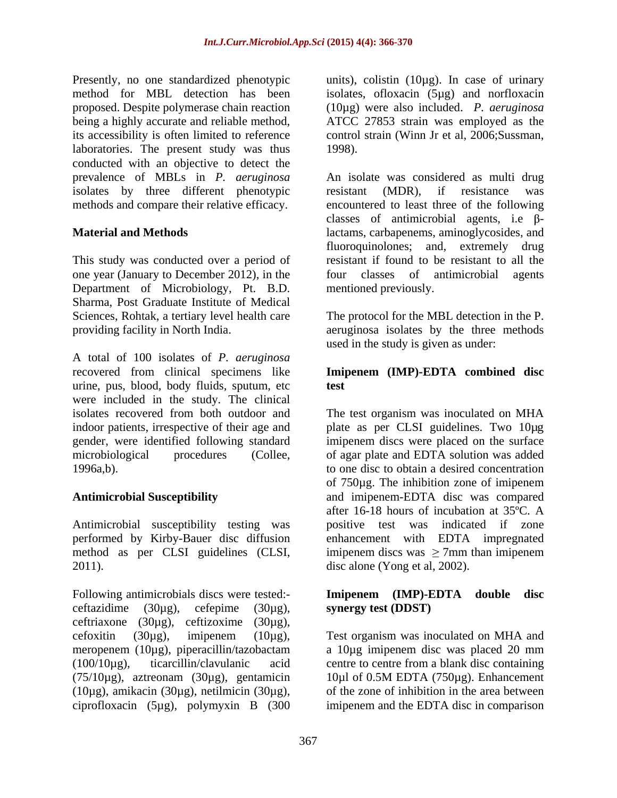Presently, no one standardized phenotypic method for MBL detection has been isolates, ofloxacin (5µg) and norfloxacin proposed. Despite polymerase chain reaction being a highly accurate and reliable method, ATCC 27853 strain was employed as the its accessibility is often limited to reference control strain (Winn Jr et al, 2006;Sussman, laboratories. The present study was thus 1998). conducted with an objective to detect the isolates by three different phenotypic resistant (MDR), if resistance was methods and compare their relative efficacy.

This study was conducted over a period of one year (January to December 2012), in the four classes of antimicrobial agents Department of Microbiology, Pt. B.D. Sharma, Post Graduate Institute of Medical Sciences, Rohtak, a tertiary level health care The protocol for the MBL detection in the P. providing facility in North India. aeruginosa isolates by the three methods

A total of 100 isolates of *P. aeruginosa* recovered from clinical specimens like **Imipenem (IMP)-EDTA combined disc** urine, pus, blood, body fluids, sputum, etc were included in the study. The clinical isolates recovered from both outdoor and The test organism was inoculated on MHA indoor patients, irrespective of their age and plate as per CLSI guidelines. Two 10µg gender, were identified following standard imipenem discs were placed on the surface microbiological procedures (Collee, of agar plate and EDTA solution was added 1996a,b). to one disc to obtain a desired concentration

Antimicrobial susceptibility testing was performed by Kirby-Bauer disc diffusion

Following antimicrobials discs were tested:- **Imipenem (IMP)-EDTA double disc** ceftazidime  $(30\mu g)$ , cefepime  $(30\mu g)$ , synergy test (DDST) ceftriaxone (30µg), ceftizoxime (30µg), cefoxitin (30µg), imipenem (10µg), Test organism was inoculated on MHA and meropenem (10µg), piperacillin/tazobactam a 10µg imipenem disc was placed 20 mm (100/10µg), ticarcillin/clavulanic acid centre to centre from a blank disc containing  $(75/10\mu$ g), aztreonam  $(30\mu$ g), gentamicin 10 $\mu$ l of 0.5M EDTA  $(750\mu$ g). Enhancement (10µg), amikacin (30µg), netilmicin (30µg), ciprofloxacin (5µg), polymyxin B (300

units), colistin (10µg). In case of urinary (10µg) were also included. *P. aeruginosa* 1998).

prevalence of MBLs in *P. aeruginosa* An isolate was considered as multi drug **Material and Methods** lactams, carbapenems, aminoglycosides, and resistant (MDR), if resistance was encountered to least three of the following classes of antimicrobial agents, i.e  $\beta$ fluoroquinolones; and, extremely drug resistant if found to be resistant to all the four classes of antimicrobial mentioned previously.

used in the study is given as under:

# **test**

**Antimicrobial Susceptibility** and imipenem-EDTA disc was compared method as per CLSI guidelines (CLSI, imipenem discs was  $\geq$  7mm than imipenem 2011). disc alone (Yong et al, 2002). of 750µg. The inhibition zone of imipenem after 16-18 hours of incubation at 35ºC. A positive test was indicated if zone enhancement with EDTA impregnated

# **synergy test (DDST)**

10µl of 0.5M EDTA (750µg). Enhancement of the zone of inhibition in the area between imipenem and the EDTA disc in comparison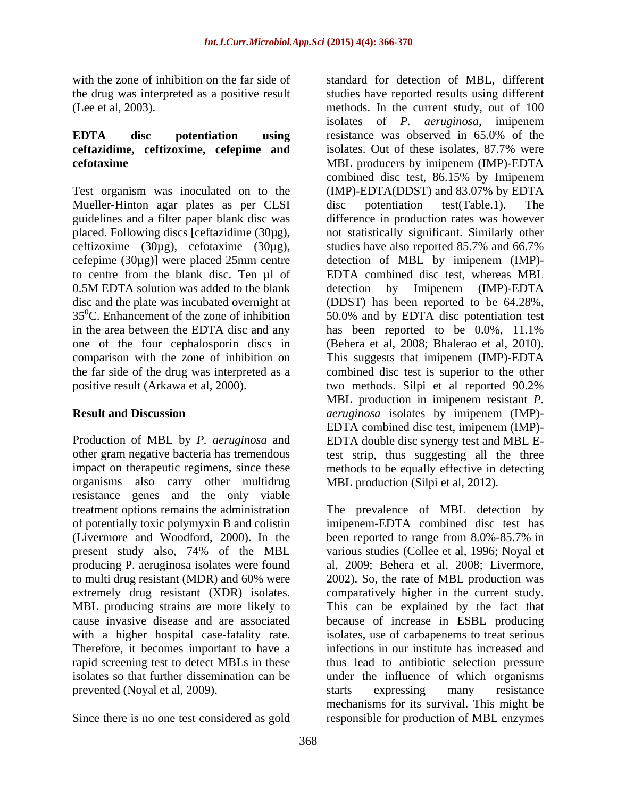with the zone of inhibition on the far side of standard for detection of MBL, different

## **EDTA disc potentiation using ceftazidime, ceftizoxime, cefepime and**

Test organism was inoculated on to the (IMP)-EDTA(DDST) and 83.07% by EDTA Mueller-Hinton agar plates as per CLSI disc potentiation test(Table.1). The guidelines and a filter paper blank disc was ceftizoxime (30µg), cefotaxime (30µg), cefepime (30 $\mu$ g)] were placed 25mm centre to centre from the blank disc. Ten  $\mu$ l of 0.5M EDTA solution was added to the blank detection by Imipenem (IMP)-EDTA in the area between the EDTA disc and any has been reported to be 0.0%, 11.1% positive result (Arkawa et al, 2000). two methods. Silpi et al reported 90.2%

organisms also carry other multidrug resistance genes and the only viable producing P. aeruginosa isolates were found Therefore, it becomes important to have a

the drug was interpreted as a positive result studies have reported results using different (Lee et al, 2003). methods. In the current study, out of 100 **cefotaxime** MBL producers by imipenem (IMP)-EDTA placed. Following discs [ceftazidime (30µg), not statistically significant. Similarly other to centre from the blank disc. Ten µl of EDTA combined disc test, whereas MBL disc and the plate was incubated overnight at (DDST) has been reported to be 64.28%,  $35^{\circ}$ C. Enhancement of the zone of inhibition  $50.0\%$  and by EDTA disc potentiation test one of the four cephalosporin discs in (Behera et al, 2008; Bhalerao et al, 2010). comparison with the zone of inhibition on This suggests that imipenem (IMP)-EDTA the far side of the drug was interpreted as a combined disc test is superior to the other **Result and Discussion** *aeruginosa* isolates by imipenem (IMP)- Production of MBL by *P. aeruginosa* and EDTA double disc synergy test and MBL Eother gram negative bacteria has tremendous test strip, thus suggesting all the three impact on therapeutic regimens, since these methods to be equally effective in detecting isolates of *P. aeruginosa*, imipenem resistance was observed in 65.0% of the isolates. Out of these isolates, 87.7% were combined disc test, 86.15% by Imipenem (IMP)-EDTA(DDST) and 83.07% by EDTA disc potentiation test(Table.1). The difference in production rates was however studies have also reported 85.7% and 66.7% detection of MBL by imipenem (IMP) detection by Imipenem (IMP)-EDTA has been reported to be 0.0%, 11.1% two methods. Silpi et al reported 90.2% MBL production in imipenem resistant *P.*  EDTA combined disc test, imipenem (IMP)- MBL production (Silpi et al, 2012).

treatment options remains the administration The prevalence of MBL detection by of potentially toxic polymyxin B and colistin imipenem-EDTA combined disc test has (Livermore and Woodford, 2000). In the been reported to range from 8.0%-85.7% in present study also, 74% of the MBL various studies (Collee et al, 1996; Noyal et to multi drug resistant (MDR) and 60% were 2002). So, the rate of MBL production was extremely drug resistant (XDR) isolates. comparatively higher in the current study. MBL producing strains are more likely to This can be explained by the fact that cause invasive disease and are associated because of increase in ESBL producing with a higher hospital case-fatality rate. isolates, use of carbapenems to treat serious rapid screening test to detect MBLs in these thus lead to antibiotic selection pressure isolates so that further dissemination can be under the influence of which organisms prevented (Noyal et al, 2009).<br>
Since there is no one test considered as gold<br>
Since there is no one test considered as gold<br>
Since there is no one test considered as gold<br>
Since there is no one test considered as gold<br>
Si al, 2009; Behera et al, 2008; Livermore, infections in our institute has increased and starts expressing many resistance mechanisms for its survival. This might be responsible for production of MBL enzymes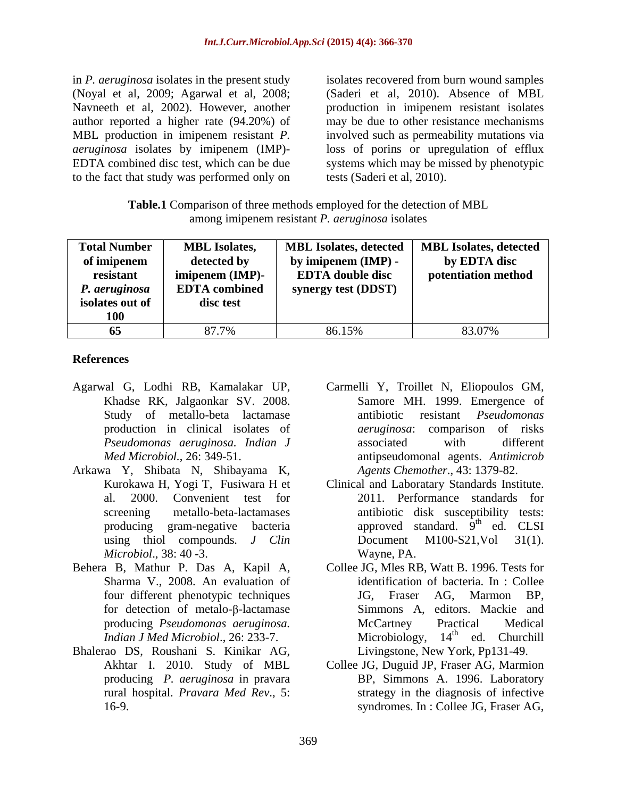to the fact that study was performed only on

in *P. aeruginosa* isolates in the present study isolates recovered from burn wound samples (Noyal et al, 2009; Agarwal et al, 2008; (Saderi et al, 2010). Absence of MBL Navneeth et al, 2002). However, another production in imipenem resistant isolates author reported a higher rate (94.20%) of may be due to other resistance mechanisms MBL production in imipenem resistant *P.*  involved such as permeability mutations via *aeruginosa* isolates by imipenem (IMP)- loss of porins or upregulation of efflux EDTA combined disc test, which can be due systems which may be missed by phenotypic tests (Saderi et al, 2010).

**Table.1** Comparison of three methods employed for the detection of MBL among imipenem resistant *P. aeruginosa* isolates

| Total Number    | <b>MBL Isolates</b>           |                         | MBL Isolates, detected   MBL Isolates, detected |
|-----------------|-------------------------------|-------------------------|-------------------------------------------------|
| of imipenem     | detected by                   | by imipenem (IMP) -     | by EDTA disc                                    |
| resistant       | $\frac{1}{2}$ imipenem (IMP)- | <b>EDTA</b> double disc | potentiation method                             |
| P. aeruginosa   | <b>EDTA</b> combined          | synergy test (DDST)     |                                                 |
| isolates out of | disc test                     |                         |                                                 |
| <b>100</b>      |                               |                         |                                                 |
|                 | 07.70/                        | 86.15%                  | 83.07%                                          |

## **References**

- Khadse RK, Jalgaonkar SV. 2008.
- Arkawa Y, Shibata N, Shibayama K, *Microbiol*., 38: 40 -3.
- Behera B, Mathur P. Das A, Kapil A, for detection of metalo- $\beta$ -lactamase
- Bhalerao DS, Roushani S. Kinikar AG,
- Agarwal G, Lodhi RB, Kamalakar UP, Carmelli Y, Troillet N, Eliopoulos GM, Study of metallo-beta lactamase antibiotic resistant *Pseudomonas* production in clinical isolates of *aeruginosa*: comparison of risks *Pseudomonas aeruginosa. Indian J Med Microbiol.*, 26: 349-51. antipseudomonal agents. *Antimicrob*  Samore MH. 1999. Emergence of antibiotic resistant *Pseudomonas*  associated with different *Agents Chemother*., 43: 1379-82.
	- Kurokawa H, Yogi T, Fusiwara H et Clinical and Laboratary Standards Institute. al. 2000. Convenient test for 2011. Performance standards for screening metallo-beta-lactamases antibiotic disk susceptibility tests: producing gram-negative bacteria approved standard. 9<sup>th</sup> ed. CLSI using thiol compounds*. J Clin* <sup>th</sup> ed. CLSI Document M100-S21,Vol 31(1). Wayne, PA.
	- Sharma V., 2008. An evaluation of identification of bacteria. In : Collee four different phenotypic techniques producing *Pseudomonas aeruginosa. Indian J Med Microbiol.*, 26: 233-7. Microbiology, 14<sup>th</sup> ed. Churchill Collee JG, Mles RB, Watt B. 1996. Tests for JG, Fraser AG, Marmon BP, Simmons A, editors. Mackie and McCartney Practical Medical  $th$  od Churchill Livingstone, New York, Pp131-49.
	- Akhtar I. 2010. Study of MBL Collee JG, Duguid JP, Fraser AG, Marmion producing *P. aeruginosa* in pravara BP, Simmons A. 1996. Laboratory rural hospital. *Pravara Med Rev*., 5: strategy in the diagnosis of infective 16-9. syndromes. In : Collee JG, Fraser AG,